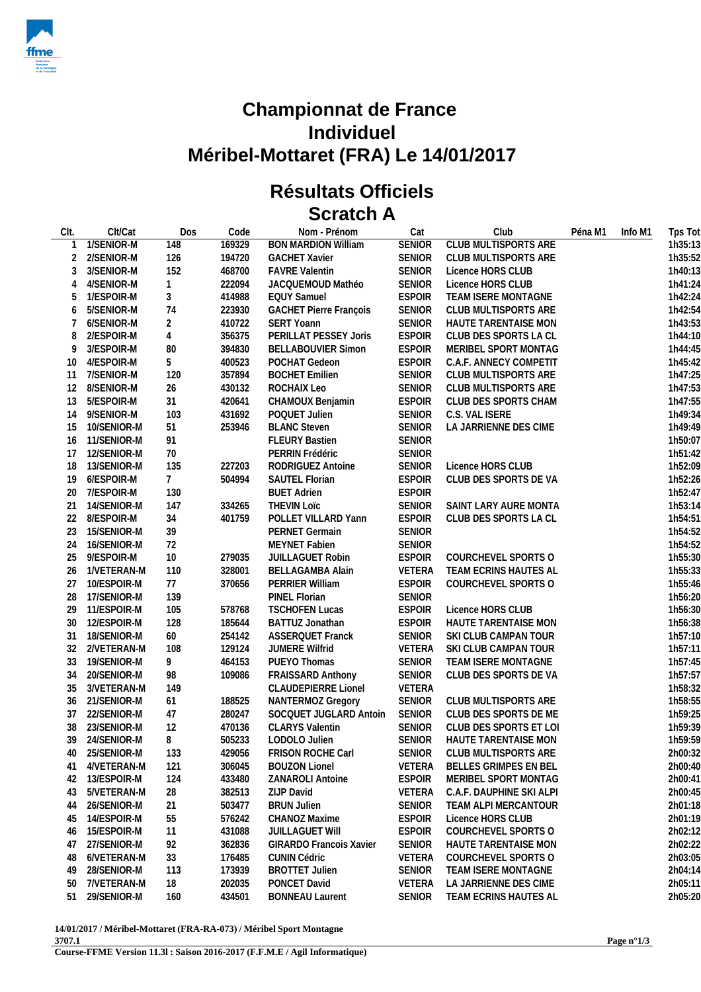

## **Championnat de France Individuel Méribel-Mottaret (FRA) Le 14/01/2017**

## **Résultats Officiels Scratch A**

| CIt. | Clt/Cat     | Dos             | Code   | Nom - Prénom                   | Cat           | Club                        | Péna M1 | Info M1 | Tps Tot |
|------|-------------|-----------------|--------|--------------------------------|---------------|-----------------------------|---------|---------|---------|
|      | 1/SENIOR-M  | 148             | 169329 | <b>BON MARDION William</b>     | <b>SENIOR</b> | <b>CLUB MULTISPORTS ARE</b> |         |         | 1h35:13 |
| 2    | 2/SENIOR-M  | 126             | 194720 | <b>GACHET Xavier</b>           | <b>SENIOR</b> | CLUB MULTISPORTS ARE        |         |         | 1h35:52 |
| 3    | 3/SENIOR-M  | 152             | 468700 | <b>FAVRE Valentin</b>          | <b>SENIOR</b> | Licence HORS CLUB           |         |         | 1h40:13 |
| 4    | 4/SENIOR-M  | $\mathbf{1}$    | 222094 | JACQUEMOUD Mathéo              | SENIOR        | Licence HORS CLUB           |         |         | 1h41:24 |
| 5    | 1/ESPOIR-M  | 3               | 414988 | <b>EQUY Samuel</b>             | <b>ESPOIR</b> | TEAM ISERE MONTAGNE         |         |         | 1h42:24 |
| 6    | 5/SENIOR-M  | 74              | 223930 | <b>GACHET Pierre François</b>  | <b>SENIOR</b> | CLUB MULTISPORTS ARE        |         |         | 1h42:54 |
|      | 6/SENIOR-M  | $\overline{2}$  | 410722 | <b>SERT Yoann</b>              | <b>SENIOR</b> | HAUTE TARENTAISE MON        |         |         | 1h43:53 |
| 8    | 2/ESPOIR-M  | $\overline{4}$  | 356375 | PERILLAT PESSEY Joris          | <b>ESPOIR</b> | CLUB DES SPORTS LA CL       |         |         | 1h44:10 |
| 9    | 3/ESPOIR-M  | 80              | 394830 | <b>BELLABOUVIER Simon</b>      | <b>ESPOIR</b> | MERIBEL SPORT MONTAG        |         |         | 1h44:45 |
| 10   | 4/ESPOIR-M  | 5               | 400523 | POCHAT Gedeon                  | <b>ESPOIR</b> | C.A.F. ANNECY COMPETIT      |         |         | 1h45:42 |
| 11   | 7/SENIOR-M  | 120             | 357894 | <b>BOCHET Emilien</b>          | <b>SENIOR</b> | CLUB MULTISPORTS ARE        |         |         | 1h47:25 |
| 12   | 8/SENIOR-M  | 26              | 430132 | ROCHAIX Leo                    | SENIOR        | CLUB MULTISPORTS ARE        |         |         | 1h47:53 |
| 13   | 5/ESPOIR-M  | 31              | 420641 | CHAMOUX Benjamin               | <b>ESPOIR</b> | CLUB DES SPORTS CHAM        |         |         | 1h47:55 |
| 14   | 9/SENIOR-M  | 103             | 431692 | POQUET Julien                  | SENIOR        | C.S. VAL ISERE              |         |         | 1h49:34 |
| 15   | 10/SENIOR-M | 51              | 253946 | <b>BLANC Steven</b>            | SENIOR        | LA JARRIENNE DES CIME       |         |         | 1h49:49 |
| 16   | 11/SENIOR-M | 91              |        | <b>FLEURY Bastien</b>          | SENIOR        |                             |         |         | 1h50:07 |
| 17   | 12/SENIOR-M | 70              |        | PERRIN Frédéric                | SENIOR        |                             |         |         | 1h51:42 |
| 18   | 13/SENIOR-M | 135             | 227203 | RODRIGUEZ Antoine              | <b>SENIOR</b> | Licence HORS CLUB           |         |         | 1h52:09 |
| 19   | 6/ESPOIR-M  | $7\overline{ }$ | 504994 | <b>SAUTEL Florian</b>          | <b>ESPOIR</b> | CLUB DES SPORTS DE VA       |         |         | 1h52:26 |
| 20   | 7/ESPOIR-M  | 130             |        | <b>BUET Adrien</b>             | <b>ESPOIR</b> |                             |         |         | 1h52:47 |
| 21   | 14/SENIOR-M | 147             | 334265 | <b>THEVIN LOTC</b>             | SENIOR        | SAINT LARY AURE MONTA       |         |         | 1h53:14 |
| 22   | 8/ESPOIR-M  | 34              | 401759 | POLLET VILLARD Yann            | <b>ESPOIR</b> | CLUB DES SPORTS LA CL       |         |         | 1h54:51 |
| 23   | 15/SENIOR-M | 39              |        | <b>PERNET Germain</b>          | SENIOR        |                             |         |         | 1h54:52 |
| 24   | 16/SENIOR-M | 72              |        | <b>MEYNET Fabien</b>           | <b>SENIOR</b> |                             |         |         | 1h54:52 |
| 25   | 9/ESPOIR-M  | 10              | 279035 | <b>JUILLAGUET Robin</b>        | <b>ESPOIR</b> | COURCHEVEL SPORTS O         |         |         | 1h55:30 |
| 26   | 1/VETERAN-M | 110             | 328001 | BELLAGAMBA Alain               | <b>VETERA</b> | TEAM ECRINS HAUTES AL       |         |         | 1h55:33 |
| 27   | 10/ESPOIR-M | 77              | 370656 | PERRIER William                | <b>ESPOIR</b> | COURCHEVEL SPORTS O         |         |         | 1h55:46 |
| 28   | 17/SENIOR-M | 139             |        | PINEL Florian                  | SENIOR        |                             |         |         | 1h56:20 |
| 29   | 11/ESPOIR-M | 105             | 578768 | <b>TSCHOFEN Lucas</b>          | <b>ESPOIR</b> | Licence HORS CLUB           |         |         | 1h56:30 |
| 30   | 12/ESPOIR-M | 128             | 185644 | BATTUZ Jonathan                | <b>ESPOIR</b> | HAUTE TARENTAISE MON        |         |         | 1h56:38 |
| 31   | 18/SENIOR-M | 60              | 254142 | ASSERQUET Franck               | SENIOR        | SKI CLUB CAMPAN TOUR        |         |         | 1h57:10 |
| 32   | 2/VETERAN-M | 108             | 129124 | <b>JUMERE Wilfrid</b>          | VETERA        | SKI CLUB CAMPAN TOUR        |         |         | 1h57:11 |
| 33   | 19/SENIOR-M | 9               | 464153 | PUEYO Thomas                   | SENIOR        | TEAM ISERE MONTAGNE         |         |         | 1h57:45 |
| 34   | 20/SENIOR-M | 98              | 109086 | FRAISSARD Anthony              | SENIOR        | CLUB DES SPORTS DE VA       |         |         | 1h57:57 |
| 35   | 3/VETERAN-M | 149             |        | CLAUDEPIERRE Lionel            | <b>VETERA</b> |                             |         |         | 1h58:32 |
| 36   | 21/SENIOR-M | 61              | 188525 | NANTERMOZ Gregory              | <b>SENIOR</b> | CLUB MULTISPORTS ARE        |         |         | 1h58:55 |
| 37   | 22/SENIOR-M | 47              | 280247 | SOCQUET JUGLARD Antoin         | <b>SENIOR</b> | CLUB DES SPORTS DE ME       |         |         | 1h59:25 |
| 38   | 23/SENIOR-M | 12              | 470136 | CLARYS Valentin                | <b>SENIOR</b> | CLUB DES SPORTS ET LOI      |         |         | 1h59:39 |
| 39   | 24/SENIOR-M | 8               | 505233 | LODOLO Julien                  | SENIOR        | HAUTE TARENTAISE MON        |         |         | 1h59:59 |
| 40   | 25/SENIOR-M | 133             | 429056 | FRISON ROCHE Carl              |               | SENIOR CLUB MULTISPORTS ARE |         |         | 2h00:32 |
| 41   | 4/VETERAN-M | 121             | 306045 | <b>BOUZON Lionel</b>           | VETERA        | BELLES GRIMPES EN BEL       |         |         | 2h00:40 |
| 42   | 13/ESPOIR-M | 124             | 433480 | <b>ZANAROLI Antoine</b>        | <b>ESPOIR</b> | MERIBEL SPORT MONTAG        |         |         | 2h00:41 |
| 43   | 5/VETERAN-M | 28              | 382513 | ZIJP David                     | VETERA        | C.A.F. DAUPHINE SKI ALPI    |         |         | 2h00:45 |
| 44   | 26/SENIOR-M | 21              | 503477 | <b>BRUN Julien</b>             | <b>SENIOR</b> | TEAM ALPI MERCANTOUR        |         |         | 2h01:18 |
| 45   | 14/ESPOIR-M | 55              | 576242 | CHANOZ Maxime                  | <b>ESPOIR</b> | Licence HORS CLUB           |         |         | 2h01:19 |
| 46   | 15/ESPOIR-M | 11              | 431088 | <b>JUILLAGUET WIII</b>         | <b>ESPOIR</b> | COURCHEVEL SPORTS O         |         |         | 2h02:12 |
| 47   | 27/SENIOR-M | 92              | 362836 | <b>GIRARDO Francois Xavier</b> | <b>SENIOR</b> | HAUTE TARENTAISE MON        |         |         | 2h02:22 |
| 48   | 6/VETERAN-M | 33              | 176485 | <b>CUNIN Cédric</b>            | VETERA        | COURCHEVEL SPORTS O         |         |         | 2h03:05 |
| 49   | 28/SENIOR-M | 113             | 173939 | <b>BROTTET Julien</b>          | <b>SENIOR</b> | TEAM ISERE MONTAGNE         |         |         | 2h04:14 |
| 50   | 7/VETERAN-M | 18              | 202035 | PONCET David                   | VETERA        | LA JARRIENNE DES CIME       |         |         | 2h05:11 |
| 51   | 29/SENIOR-M | 160             | 434501 | <b>BONNEAU Laurent</b>         | <b>SENIOR</b> | TEAM ECRINS HAUTES AL       |         |         | 2h05:20 |
|      |             |                 |        |                                |               |                             |         |         |         |

**14/01/2017 / Méribel-Mottaret (FRA-RA-073) / Méribel Sport Montagne 3707.1**

**Course-FFME Version 11.3l : Saison 2016-2017 (F.F.M.E / Agil Informatique)**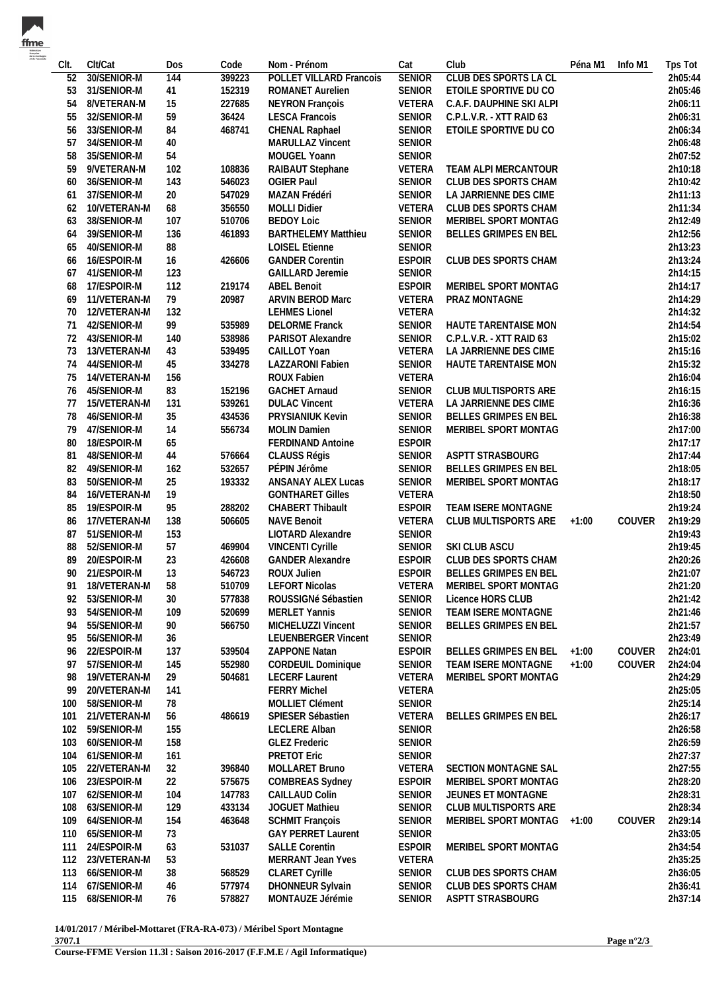| CIt.     | Clt/Cat                    | Dos       | Code             | Nom - Prénom                                     | Cat                            | Club                                            | Péna M1 | Info M1 | Tps Tot            |
|----------|----------------------------|-----------|------------------|--------------------------------------------------|--------------------------------|-------------------------------------------------|---------|---------|--------------------|
| 52       | 30/SENIOR-M                | 144       | 399223           | POLLET VILLARD Francois                          | <b>SENIOR</b>                  | <b>CLUB DES SPORTS LA CL</b>                    |         |         | 2h05:44            |
| 53       | 31/SENIOR-M                | 41        | 152319           | <b>ROMANET Aurelien</b>                          | <b>SENIOR</b>                  | ETOILE SPORTIVE DU CO                           |         |         | 2h05:46            |
| 54       | 8/VETERAN-M                | 15        | 227685           | <b>NEYRON François</b>                           | VETERA                         | C.A.F. DAUPHINE SKI ALPI                        |         |         | 2h06:11            |
| 55       | 32/SENIOR-M                | 59        | 36424            | <b>LESCA Francois</b>                            | SENIOR                         | C.P.L.V.R. - XTT RAID 63                        |         |         | 2h06:31            |
| 56       | 33/SENIOR-M                | 84        | 468741           | CHENAL Raphael                                   | SENIOR                         | ETOILE SPORTIVE DU CO                           |         |         | 2h06:34            |
| 57       | 34/SENIOR-M                | 40        |                  | <b>MARULLAZ Vincent</b>                          | <b>SENIOR</b>                  |                                                 |         |         | 2h06:48            |
| 58       | 35/SENIOR-M                | 54        |                  | MOUGEL Yoann                                     | <b>SENIOR</b>                  |                                                 |         |         | 2h07:52            |
| 59       | 9/VETERAN-M                | 102       | 108836           | RAIBAUT Stephane                                 | VETERA                         | TEAM ALPI MERCANTOUR                            |         |         | 2h10:18            |
| 60       | 36/SENIOR-M                | 143       | 546023           | <b>OGIER Paul</b>                                | <b>SENIOR</b>                  | CLUB DES SPORTS CHAM                            |         |         | 2h10:42            |
| 61       | 37/SENIOR-M                | 20        | 547029           | MAZAN Frédéri                                    | SENIOR                         | LA JARRIENNE DES CIME                           |         |         | 2h11:13            |
| 62       | 10/VETERAN-M               | 68        | 356550           | <b>MOLLI Didier</b>                              | VETERA                         | CLUB DES SPORTS CHAM                            |         |         | 2h11:34            |
| 63       | 38/SENIOR-M                | 107       | 510706           | <b>BEDOY Loic</b>                                | <b>SENIOR</b>                  | MERIBEL SPORT MONTAG                            |         |         | 2h12:49            |
| 64       | 39/SENIOR-M                | 136       | 461893           | <b>BARTHELEMY Matthieu</b>                       | <b>SENIOR</b>                  | BELLES GRIMPES EN BEL                           |         |         | 2h12:56            |
| 65       | 40/SENIOR-M                | 88        |                  | <b>LOISEL Etienne</b>                            | <b>SENIOR</b>                  |                                                 |         |         | 2h13:23            |
| 66       | 16/ESPOIR-M                | 16        | 426606           | <b>GANDER Corentin</b>                           | <b>ESPOIR</b>                  | CLUB DES SPORTS CHAM                            |         |         | 2h13:24            |
| 67       | 41/SENIOR-M                | 123       |                  | <b>GAILLARD Jeremie</b>                          | <b>SENIOR</b>                  |                                                 |         |         | 2h14:15            |
| 68       | 17/ESPOIR-M                | 112       | 219174           | <b>ABEL Benoit</b>                               | <b>ESPOIR</b>                  | MERIBEL SPORT MONTAG                            |         |         | 2h14:17            |
| 69       | 11/VETERAN-M               | 79        | 20987            | ARVIN BEROD Marc                                 | VETERA                         | PRAZ MONTAGNE                                   |         |         | 2h14:29            |
| 70       | 12/VETERAN-M               | 132       |                  | <b>LEHMES Lionel</b>                             | VETERA                         |                                                 |         |         | 2h14:32            |
| 71       | 42/SENIOR-M                | 99        | 535989           | <b>DELORME Franck</b>                            | SENIOR                         | HAUTE TARENTAISE MON                            |         |         | 2h14:54            |
| 72       | 43/SENIOR-M                | 140       | 538986           | PARISOT Alexandre                                | SENIOR                         | C.P.L.V.R. - XTT RAID 63                        |         |         | 2h15:02            |
| 73       | 13/VETERAN-M               | 43        | 539495           | CAILLOT Yoan                                     | VETERA                         | LA JARRIENNE DES CIME                           |         |         | 2h15:16            |
| 74       | 44/SENIOR-M                | 45        | 334278           | LAZZARONI Fabien                                 | SENIOR                         | HAUTE TARENTAISE MON                            |         |         | 2h15:32            |
| 75       | 14/VETERAN-M               | 156       |                  | <b>ROUX Fabien</b>                               | VETERA                         |                                                 |         |         | 2h16:04            |
| 76       | 45/SENIOR-M                | 83        | 152196           | <b>GACHET Arnaud</b>                             | <b>SENIOR</b>                  | CLUB MULTISPORTS ARE                            |         |         | 2h16:15            |
| 77       | 15/VETERAN-M               | 131       | 539261           | <b>DULAC Vincent</b>                             | VETERA                         | LA JARRIENNE DES CIME                           |         |         | 2h16:36            |
| 78       | 46/SENIOR-M                | 35        | 434536           | PRYSIANIUK Kevin                                 | SENIOR                         | BELLES GRIMPES EN BEL                           |         |         | 2h16:38            |
| 79       | 47/SENIOR-M                | 14        | 556734           | <b>MOLIN Damien</b>                              | SENIOR                         | MERIBEL SPORT MONTAG                            |         |         | 2h17:00            |
| 80       | 18/ESPOIR-M                | 65        |                  | <b>FERDINAND Antoine</b>                         | <b>ESPOIR</b>                  |                                                 |         |         | 2h17:17            |
| 81       | 48/SENIOR-M                | 44        | 576664           | CLAUSS Régis                                     | SENIOR                         | ASPTT STRASBOURG                                |         |         | 2h17:44            |
| 82       | 49/SENIOR-M                | 162       | 532657           | PÉPIN Jérôme                                     | <b>SENIOR</b>                  | <b>BELLES GRIMPES EN BEL</b>                    |         |         | 2h18:05            |
| 83       | 50/SENIOR-M                | 25        | 193332           | ANSANAY ALEX Lucas                               | <b>SENIOR</b>                  | MERIBEL SPORT MONTAG                            |         |         | 2h18:17            |
| 84       | 16/VETERAN-M               | 19        |                  | <b>GONTHARET Gilles</b>                          | VETERA                         |                                                 |         |         | 2h18:50            |
| 85       | 19/ESPOIR-M                | 95        | 288202           | CHABERT Thibault                                 | <b>ESPOIR</b>                  | TEAM ISERE MONTAGNE                             |         |         | 2h19:24            |
| 86       | 17/VETERAN-M               | 138       | 506605           | <b>NAVE Benoit</b>                               | VETERA                         | CLUB MULTISPORTS ARE                            | $+1:00$ | COUVER  | 2h19:29            |
| 87       | 51/SENIOR-M                | 153       |                  | LIOTARD Alexandre                                | <b>SENIOR</b>                  |                                                 |         |         | 2h19:43            |
| 88       | 52/SENIOR-M                | 57        | 469904           | VINCENTI Cyrille                                 | SENIOR                         | SKI CLUB ASCU                                   |         |         | 2h19:45            |
| 89       | 20/ESPOIR-M                | 23        | 426608           | <b>GANDER Alexandre</b>                          | <b>ESPOIR</b><br><b>ESPOIR</b> | CLUB DES SPORTS CHAM                            |         |         | 2h20:26            |
| 90       | 21/ESPOIR-M                | 13        | 546723           | ROUX Julien                                      |                                | BELLES GRIMPES EN BEL                           |         |         | 2h21:07            |
|          | 91 18/VETERAN-M            | 58        | 510709           | <b>LEFORT Nicolas</b>                            |                                | VETERA MERIBEL SPORT MONTAG                     |         |         | 2h21:20            |
| 92       | 53/SENIOR-M<br>54/SENIOR-M | 30        | 577838<br>520699 | ROUSSIGNé Sébastien<br><b>MERLET Yannis</b>      | <b>SENIOR</b><br>SENIOR        | Licence HORS CLUB<br><b>TEAM ISERE MONTAGNE</b> |         |         | 2h21:42<br>2h21:46 |
| 93       |                            | 109       |                  |                                                  | <b>SENIOR</b>                  | BELLES GRIMPES EN BEL                           |         |         | 2h21:57            |
| 94       | 55/SENIOR-M<br>56/SENIOR-M | 90        | 566750           | MICHELUZZI Vincent<br><b>LEUENBERGER Vincent</b> | <b>SENIOR</b>                  |                                                 |         |         | 2h23:49            |
| 95<br>96 | 22/ESPOIR-M                | 36<br>137 | 539504           | ZAPPONE Natan                                    | <b>ESPOIR</b>                  | BELLES GRIMPES EN BEL                           | $+1:00$ | COUVER  | 2h24:01            |
| 97       | 57/SENIOR-M                | 145       | 552980           | <b>CORDEUIL Dominique</b>                        | <b>SENIOR</b>                  | TEAM ISERE MONTAGNE                             | $+1:00$ | COUVER  | 2h24:04            |
| 98       | 19/VETERAN-M               | 29        | 504681           | <b>LECERF Laurent</b>                            | VETERA                         | MERIBEL SPORT MONTAG                            |         |         | 2h24:29            |
| 99       | 20/VETERAN-M               | 141       |                  | <b>FERRY Michel</b>                              | VETERA                         |                                                 |         |         | 2h25:05            |
| 100      | 58/SENIOR-M                | 78        |                  | MOLLIET Clément                                  | <b>SENIOR</b>                  |                                                 |         |         | 2h25:14            |
| 101      | 21/VETERAN-M               | 56        | 486619           | SPIESER Sébastien                                | VETERA                         | BELLES GRIMPES EN BEL                           |         |         | 2h26:17            |
| 102      | 59/SENIOR-M                | 155       |                  | LECLERE Alban                                    | <b>SENIOR</b>                  |                                                 |         |         | 2h26:58            |
| 103      | 60/SENIOR-M                | 158       |                  | <b>GLEZ Frederic</b>                             | <b>SENIOR</b>                  |                                                 |         |         | 2h26:59            |
| 104      | 61/SENIOR-M                | 161       |                  | PRETOT Eric                                      | <b>SENIOR</b>                  |                                                 |         |         | 2h27:37            |
| 105      | 22/VETERAN-M               | 32        | 396840           | MOLLARET Bruno                                   | VETERA                         | SECTION MONTAGNE SAL                            |         |         | 2h27:55            |
| 106      | 23/ESPOIR-M                | 22        | 575675           | COMBREAS Sydney                                  | <b>ESPOIR</b>                  | MERIBEL SPORT MONTAG                            |         |         | 2h28:20            |
| 107      | 62/SENIOR-M                | 104       | 147783           | CAILLAUD Colin                                   | <b>SENIOR</b>                  | JEUNES ET MONTAGNE                              |         |         | 2h28:31            |
| 108      | 63/SENIOR-M                | 129       | 433134           | JOGUET Mathieu                                   | <b>SENIOR</b>                  | CLUB MULTISPORTS ARE                            |         |         | 2h28:34            |
| 109      | 64/SENIOR-M                | 154       | 463648           | <b>SCHMIT François</b>                           | <b>SENIOR</b>                  | MERIBEL SPORT MONTAG                            | $+1:00$ | COUVER  | 2h29:14            |
| 110      | 65/SENIOR-M                | 73        |                  | <b>GAY PERRET Laurent</b>                        | <b>SENIOR</b>                  |                                                 |         |         | 2h33:05            |
| 111      | 24/ESPOIR-M                | 63        | 531037           | <b>SALLE Corentin</b>                            | <b>ESPOIR</b>                  | MERIBEL SPORT MONTAG                            |         |         | 2h34:54            |
| 112      | 23/VETERAN-M               | 53        |                  | MERRANT Jean Yves                                | VETERA                         |                                                 |         |         | 2h35:25            |
| 113      | 66/SENIOR-M                | 38        | 568529           | <b>CLARET Cyrille</b>                            | <b>SENIOR</b>                  | CLUB DES SPORTS CHAM                            |         |         | 2h36:05            |
| 114      | 67/SENIOR-M                | 46        | 577974           | DHONNEUR Sylvain                                 | <b>SENIOR</b>                  | CLUB DES SPORTS CHAM                            |         |         | 2h36:41            |
| 115      | 68/SENIOR-M                | 76        | 578827           | MONTAUZE Jérémie                                 | <b>SENIOR</b>                  | ASPTT STRASBOURG                                |         |         | 2h37:14            |
|          |                            |           |                  |                                                  |                                |                                                 |         |         |                    |

**14/01/2017 / Méribel-Mottaret (FRA-RA-073) / Méribel Sport Montagne 3707.1**